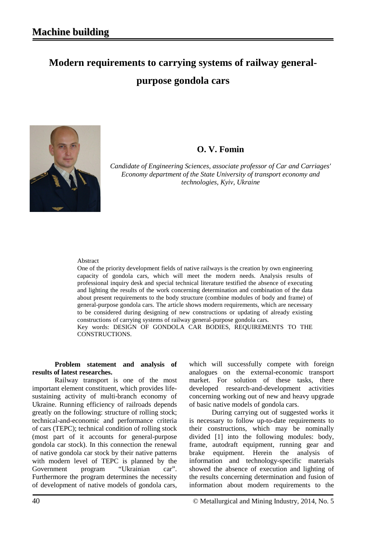# **Modern requirements to carrying systems of railway generalpurpose gondola cars**



### **O. V. Fomin**

*Candidate of Engineering Sciences, associate professor of Car and Carriages' Economy department of the State University of transport economy and technologies, Kyiv, Ukraine*

#### Abstract

One of the priority development fields of native railways is the creation by own engineering capacity of gondola cars, which will meet the modern needs. Analysis results of professional inquiry desk and special technical literature testified the absence of executing and lighting the results of the work concerning determination and combination of the data about present requirements to the body structure (combine modules of body and frame) of general-purpose gondola cars. The article shows modern requirements, which are necessary to be considered during designing of new constructions or updating of already existing constructions of carrying systems of railway general-purpose gondola cars. Key words: DESIGN OF GONDOLA CAR BODIES, REQUIREMENTS TO THE CONSTRUCTIONS.

**Problem statement and analysis of results of latest researches.**

Railway transport is one of the most important element constituent, which provides lifesustaining activity of multi-branch economy of Ukraine. Running efficiency of railroads depends greatly on the following: structure of rolling stock; technical-and-economic and performance criteria of cars (TEPC); technical condition of rolling stock (most part of it accounts for general-purpose gondola car stock). In this connection the renewal of native gondola car stock by their native patterns with modern level of TEPC is planned by the Government program "Ukrainian car". Furthermore the program determines the necessity of development of native models of gondola cars,

which will successfully compete with foreign analogues on the external-economic transport market. For solution of these tasks, there developed research-and-development activities concerning working out of new and heavy upgrade of basic native models of gondola cars.

During carrying out of suggested works it is necessary to follow up-to-date requirements to their constructions, which may be nominally divided [1] into the following modules: body, frame, autodraft equipment, running gear and brake equipment. Herein the analysis of information and technology-specific materials showed the absence of execution and lighting of the results concerning determination and fusion of information about modern requirements to the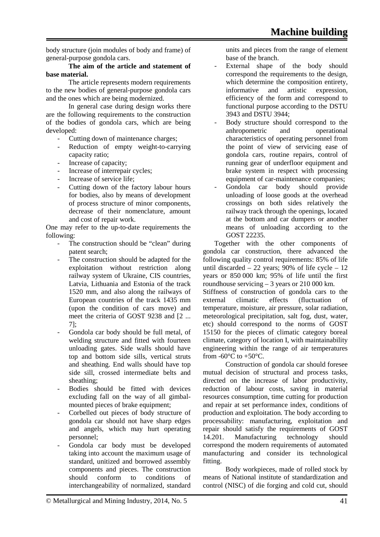body structure (join modules of body and frame) of general-purpose gondola cars.

#### **The aim of the article and statement of base material.**

The article represents modern requirements to the new bodies of general-purpose gondola cars and the ones which are being modernized.

In general case during design works there are the following requirements to the construction of the bodies of gondola cars, which are being developed:

- Cutting down of maintenance charges;
- Reduction of empty weight-to-carrying capacity ratio;
- Increase of capacity;
- Increase of interrepair cycles;
- Increase of service life;
- Cutting down of the factory labour hours for bodies, also by means of development of process structure of minor components, decrease of their nomenclature, amount and cost of repair work.

One may refer to the up-to-date requirements the following:

- The construction should be "clean" during patent search;
- The construction should be adapted for the exploitation without restriction along railway system of Ukraine, CIS countries, Latvia, Lithuania and Estonia of the track 1520 mm, and also along the railways of European countries of the track 1435 mm (upon the condition of cars move) and meet the criteria of GOST 9238 and [2 ... 7];
- Gondola car body should be full metal, of welding structure and fitted with fourteen unloading gates. Side walls should have top and bottom side sills, vertical struts and sheathing. End walls should have top side sill, crossed intermediate belts and sheathing;
- Bodies should be fitted with devices excluding fall on the way of all gimbalmounted pieces of brake equipment;
- Corbelled out pieces of body structure of gondola car should not have sharp edges and angels, which may hurt operating personnel;
- Gondola car body must be developed taking into account the maximum usage of standard, unitized and borrowed assembly components and pieces. The construction should conform to conditions of interchangeability of normalized, standard

units and pieces from the range of element base of the branch.

- External shape of the body should correspond the requirements to the design, which determine the composition entirety,<br>informative and artistic expression. informative and artistic expression, efficiency of the form and correspond to functional purpose according to the DSTU 3943 and DSTU 3944;
- Body structure should correspond to the anhropometric and operational characteristics of operating personnel from the point of view of servicing ease of gondola cars, routine repairs, control of running gear of underfloor equipment and brake system in respect with processing equipment of car-maintenance companies;
- Gondola car body should provide unloading of loose goods at the overhead crossings on both sides relatively the railway track through the openings, located at the bottom and car dumpers or another means of unloading according to the GOST 22235.

Together with the other components of gondola car construction, there advanced the following quality control requirements: 85% of life until discarded  $-22$  years; 90% of life cycle  $-12$ years or 850 000 km; 95% of life until the first roundhouse servicing – 3 years or 210 000 km.

Stiffness of construction of gondola cars to the external climatic effects (fluctuation of temperature, moisture, air pressure, solar radiation, meteorological precipitation, salt fog, dust, water, etc) should correspond to the norms of GOST 15150 for the pieces of climatic category boreal climate, category of location I, with maintainability engineering within the range of air temperatures from  $-60^{\circ}$ C to  $+50^{\circ}$ C.

Construction of gondola car should foresee mutual decision of structural and process tasks, directed on the increase of labor productivity, reduction of labour costs, saving in material resources consumption, time cutting for production and repair at set performance index, conditions of production and exploitation. The body according to processability: manufacturing, exploitation and repair should satisfy the requirements of GOST 14.201. Manufacturing technology should correspond the modern requirements of automated manufacturing and consider its technological fitting.

Body workpieces, made of rolled stock by means of National institute of standardization and control (NISC) of die forging and cold cut, should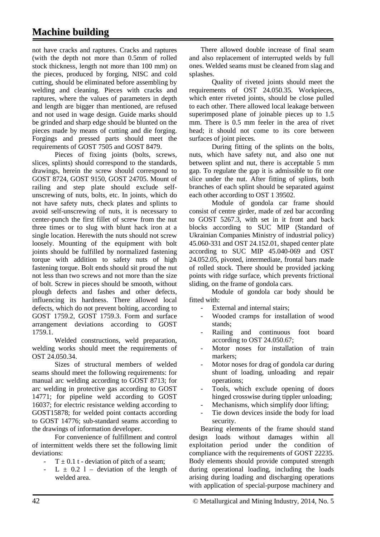## **Machine building**

not have cracks and raptures. Cracks and raptures (with the depth not more than 0.5mm of rolled stock thickness, length not more than 100 mm) on the pieces, produced by forging, NISC and cold cutting, should be eliminated before assembling by welding and cleaning. Pieces with cracks and raptures, where the values of parameters in depth and length are bigger than mentioned, are refused and not used in wage design. Guide marks should be grinded and sharp edge should be blunted on the pieces made by means of cutting and die forging. Forgings and pressed parts should meet the requirements of GOST 7505 and GOST 8479.

Pieces of fixing joints (bolts, screws, slices, splints) should correspond to the standards, drawings, herein the screw should correspond to GOST 8724, GOST 9150, GOST 24705. Mount of railing and step plate should exclude selfunscrewing of nuts, bolts, etc. In joints, which do not have safety nuts, check plates and splints to avoid self-unscrewing of nuts, it is necessary to center-punch the first fillet of screw from the nut three times or to slug with blunt hack iron at a single location. Herewith the nuts should not screw loosely. Mounting of the equipment with bolt joints should be fulfilled by normalized fastening torque with addition to safety nuts of high fastening torque. Bolt ends should sit proud the nut not less than two screws and not more than the size of bolt. Screw in pieces should be smooth, without plough defects and fashes and other defects, influencing its hardness. There allowed local defects, which do not prevent bolting, according to GOST 1759.2, GOST 1759.3. Form and surface arrangement deviations according to GOST 1759.1.

Welded constructions, weld preparation, welding works should meet the requirements of OST 24.050.34.

Sizes of structural members of welded seams should meet the following requirements: for manual arc welding according to GOST 8713; for arc welding in protective gas according to GOST 14771; for pipeline weld according to GOST 16037; for electric resistance welding according to GOST15878; for welded point contacts according to GOST 14776; sub-standard seams according to the drawings of information developer.

For convenience of fulfillment and control of intermittent welds there set the following limit deviations:

- $T \pm 0.1$  t deviation of pitch of a seam;
- $L \pm 0.2$  l deviation of the length of welded area.

There allowed double increase of final seam and also replacement of interrupted welds by full ones. Welded seams must be cleaned from slag and splashes.

Quality of riveted joints should meet the requirements of OST 24.050.35. Workpieces, which enter riveted joints, should be close pulled to each other. There allowed local leakage between superimposed plane of joinable pieces up to 1.5 mm. There is 0.5 mm feeler in the area of rivet head; it should not come to its core between surfaces of joint pieces.

During fitting of the splints on the bolts, nuts, which have safety nut, and also one nut between splint and nut, there is acceptable 5 mm gap. To regulate the gap it is admissible to fit one slice under the nut. After fitting of splints, both branches of each splint should be separated against each other according to OST 1 39502.

Module of gondola car frame should consist of centre girder, made of zed bar according to GOST 5267.3, with set in it front and back blocks according to SUC MIP (Standard of Ukrainian Companies Ministry of industrial policy) 45.060-331 and OST 24.152.01, shaped center plate according to SUC MIP 45.040-069 and OST 24.052.05, pivoted, intermediate, frontal bars made of rolled stock. There should be provided jacking points with ridge surface, which prevents frictional sliding, on the frame of gondola cars.

Module of gondola car body should be fitted with:

- External and internal stairs;
- Wooded cramps for installation of wood stands;
- Railing and continuous foot board according to OST 24.050.67;
- Motor noses for installation of train markers;
- Motor noses for drag of gondola car during shunt of loading, unloading and repair operations;
- Tools, which exclude opening of doors hinged crosswise during tippler unloading;
- Mechanisms, which simplify door lifting:
- Tie down devices inside the body for load security.

Bearing elements of the frame should stand design loads without damages within all exploitation period under the condition of compliance with the requirements of GOST 22235. Body elements should provide computed strength during operational loading, including the loads arising during loading and discharging operations with application of special-purpose machinery and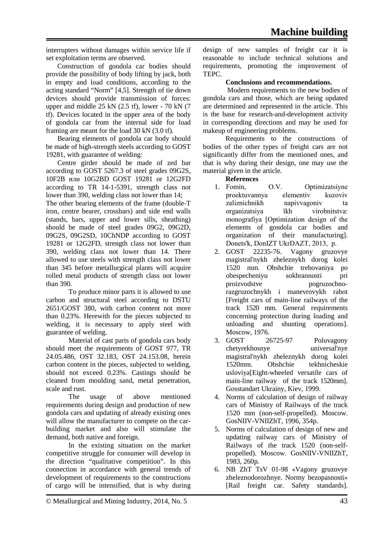interrupters without damages within service life if set exploitation terms are observed.

Construction of gondola car bodies should provide the possibility of body lifting by jack, both in empty and load conditions, according to the acting standard "Norm" [4,5]. Strength of tie down devices should provide transmission of forces: upper and middle 25 kN (2.5 tf), lower - 70 kN (7 tf). Devices located in the upper area of the body of gondola car from the internal side for load framing are meant for the load 30 kN (3.0 tf).

Bearing elements of gondola car body should be made of high-strength steels according to GOST 19281, with guarantee of welding:

Centre girder should be made of zed bar according to GOST 5267.3 of steel grades 09G2S, 10F2B или 10G2BD GOST 19281 or 12G2FD according to TR 14-1-5391, strength class not lower than 390, welding class not lower than 14;

The other bearing elements of the frame (double-T iron, centre bearer, crossbars) and side end walls (stands, bars, upper and lower sills, sheathing) should be made of steel grades 09G2, 09G2D, 09G2S, 09G2SD, 10ChNDP according to GOST 19281 or 12G2FD, strength class not lower than 390, welding class not lower than 14. There allowed to use steels with strength class not lower than 345 before metallurgical plants will acquire rolled metal products of strength class not lower than 390.

To produce minor parts it is allowed to use carbon and structural steel according to DSTU 2651/GOST 380, with carbon content not more than 0.23%. Herewith for the pieces subjected to welding, it is necessary to apply steel with guarantee of welding.

Material of cast parts of gondola cars body should meet the requirements of GOST 977, TR 24.05.486, OST 32.183, ОSТ 24.153.08, herein carbon content in the pieces, subjected to welding, should not exceed 0.23%. Castings should be cleaned from moulding sand, metal penetration, scale and rust.

The usage of above mentioned requirements during design and production of new gondola cars and updating of already existing ones will allow the manufacturer to compete on the carbuilding market and also will stimulate the demand, both native and foreign.

In the existing situation on the market competitive struggle for consumer will develop in the direction "qualitative competition". In this connection in accordance with general trends of development of requirements to the constructions of cargo will be intensified, that is why during design of new samples of freight car it is reasonable to include technical solutions and requirements, promoting the improvement of TEPC.

#### **Conclusions and recommendations.**

Modern requirements to the new bodies of gondola cars and those, which are being updated are determined and represented in the article. This is the base for research-and-development activity in corresponding directions and may be used for makeup of engineering problems.

Requirements to the constructions of bodies of the other types of freight cars are not significantly differ from the mentioned ones, and that is why during their design, one may use the material given in the article.

**References**

- 1. Fomіn, O.V. Optimіzatsіyne proektuvannya elementіv kuzovіv zaliznichnikh napivvagoniv ta organіzatsіya їkh virobnitstva: monografіya [Optimization design of the elements of gondola car bodies and organization of their manufacturing]. Donets'k, DonІZT UkrDAZT, 2013, p.
- 2. GOST 22235-76. Vagony gruzovye magistral'nykh zheleznykh dorog kolei 1520 mm. Obshchie trebovaniya po obespecheniyu sokhrannosti pri proizvodstve pogruzochnorazgruzochnykh i manevrovykh rabot [Freight cars of main-line railways of the track 1520 mm. General requirements concerning protection during loading and unloading and shunting operations]. Moscow, 1976.
- 3. GOST 26725-97 Poluvagony chetyrekhosnye universal'nye magistral'nykh zheleznykh dorog kolei 1520mm. Obshchie tekhnicheskie usloviya[Eight-wheeled versatile cars of main-line railway of the track 1520mm]. Gosstandart Ukrainy, Kiev, 1999.
- 4. Norms of calculation of design of railway cars of Ministry of Railways of the track 1520 mm (non-self-propelled). Moscow. GosNIIV-VNIIZhT, 1996, 354p.
- 5. Norms of calculation of design of new and updating railway cars of Ministry of Railways of the track 1520 (non-selfpropelled). Moscow. GosNIIV-VNIIZhT, 1983, 260p.
- 6. NB ZhT TsV 01-98 «Vagony gruzovye zheleznodorozhnye. Normy bezopasnosti» [Rail freight car. Safety standards].